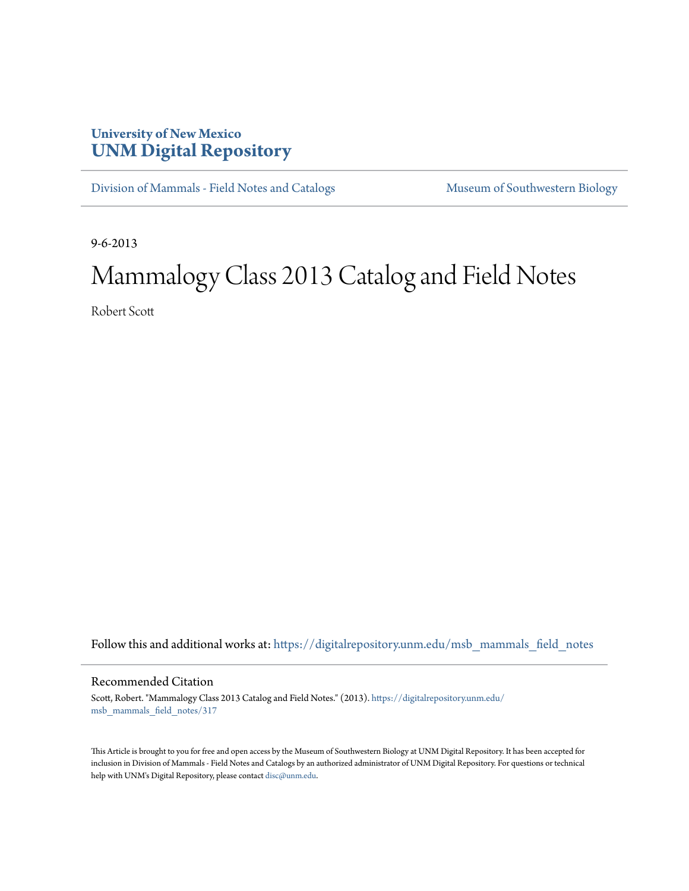## **University of New Mexico [UNM Digital Repository](https://digitalrepository.unm.edu?utm_source=digitalrepository.unm.edu%2Fmsb_mammals_field_notes%2F317&utm_medium=PDF&utm_campaign=PDFCoverPages)**

[Division of Mammals - Field Notes and Catalogs](https://digitalrepository.unm.edu/msb_mammals_field_notes?utm_source=digitalrepository.unm.edu%2Fmsb_mammals_field_notes%2F317&utm_medium=PDF&utm_campaign=PDFCoverPages) [Museum of Southwestern Biology](https://digitalrepository.unm.edu/msb?utm_source=digitalrepository.unm.edu%2Fmsb_mammals_field_notes%2F317&utm_medium=PDF&utm_campaign=PDFCoverPages)

9-6-2013

## Mammalogy Class 2013 Catalog and Field Notes

Robert Scott

Follow this and additional works at: [https://digitalrepository.unm.edu/msb\\_mammals\\_field\\_notes](https://digitalrepository.unm.edu/msb_mammals_field_notes?utm_source=digitalrepository.unm.edu%2Fmsb_mammals_field_notes%2F317&utm_medium=PDF&utm_campaign=PDFCoverPages)

## Recommended Citation

Scott, Robert. "Mammalogy Class 2013 Catalog and Field Notes." (2013). [https://digitalrepository.unm.edu/](https://digitalrepository.unm.edu/msb_mammals_field_notes/317?utm_source=digitalrepository.unm.edu%2Fmsb_mammals_field_notes%2F317&utm_medium=PDF&utm_campaign=PDFCoverPages) [msb\\_mammals\\_field\\_notes/317](https://digitalrepository.unm.edu/msb_mammals_field_notes/317?utm_source=digitalrepository.unm.edu%2Fmsb_mammals_field_notes%2F317&utm_medium=PDF&utm_campaign=PDFCoverPages)

This Article is brought to you for free and open access by the Museum of Southwestern Biology at UNM Digital Repository. It has been accepted for inclusion in Division of Mammals - Field Notes and Catalogs by an authorized administrator of UNM Digital Repository. For questions or technical help with UNM's Digital Repository, please contact [disc@unm.edu](mailto:disc@unm.edu).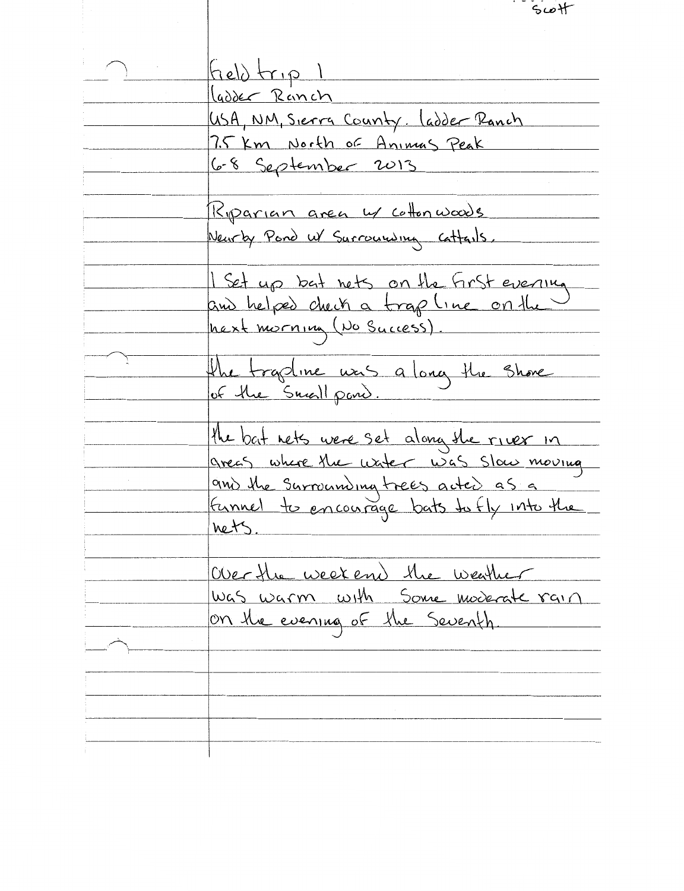$5\omega +$  $f_{rel}\rangle$   $\{r, p\}$ ladder Ranch USA, NM, Sierra County. ladder Ranch 7.5 Km North of Animas Peak <u>6-8 September 2013</u> Riparian area w collonwoods Neurby Pond W Surrounding Cattails. I Set up but nets on the first evening and helped check a trap line on the hext morning (No Success). the tradine was a long the shore of the Small pond. the bat nets were set along the river in greas where the uxter was slow moving and the surrounding trees acted as a funnel to encourage bats to fly into the  $hetS$ . Over the week end the weather Was warm with Some moderate rain on the evening of the Seventh.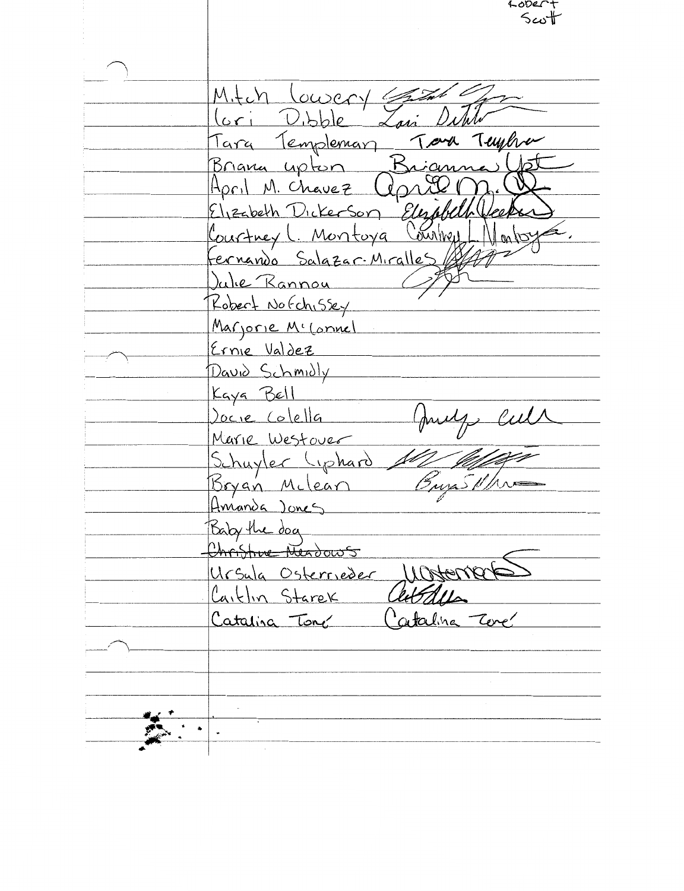rooer.t  $5\omega$ t Mitch Lowery lori Dibble Lavi Tara Templemary Tora Tuyha Briana upton Briann <u>April M. Chavez Copre</u> Elizabeth Dickerson Elizabeth Courtners Courtney (Montoya Fernando Salazar-Miralles Julie Rannou Robert Nofchissey Marjorie M' (onnel Ernie Valdez David Schmidly Kaya Bell Jocie Colella Marie Westover Schuyler Liphard Bryan Milean Amanda Jones Baby the dog Christive Neadows Ursula Osterrieder Wosten autous Caitlin Starek Catalina Tone Catalina Tore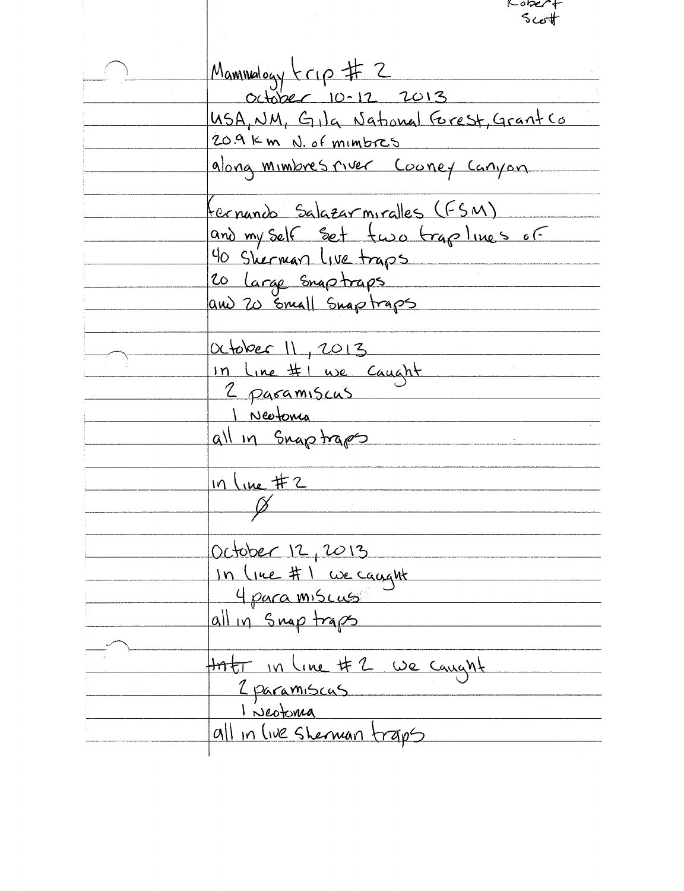$5cot$ Mammalogy (10 # 2<br>October 10-12 2013<br>USA, NM, Gila National Grest, Grant Co 209 Km N. of mimbres along mimbres river Cooney Canyon fernando Salazarmiralles (FSM) and my self set two trap lines of 40 Sherman Live traps 20 large snaptraps and 20 small Snaptraps October 11, 2013 In line #1 we caught I Neetonia all in Snaptraps  $in line \#2$  $\gamma$ October 12, 2013 In (rue #1 we caught 4 para miscuss J all in snaptraps that in line # 2 we caught 2 paramiscus 1 Neotoma<br>all in live sherman traps

Kober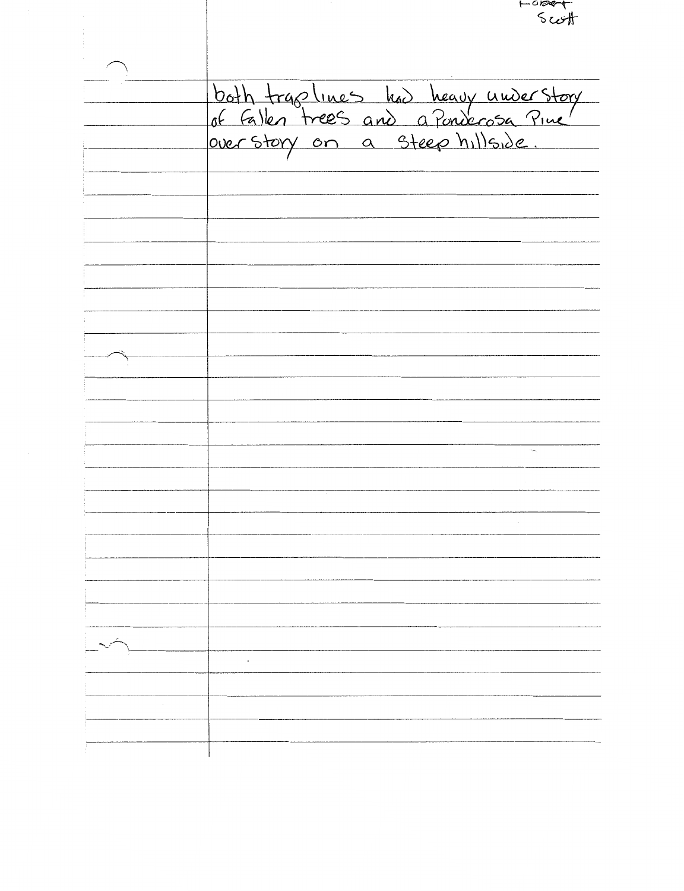Forget both trap lines had heavy under story<br>of fallen trees and a Ponderosa Pine  $\overline{\mathcal{A}_{\mathcal{F}_{\mathcal{C}}}}$  $\mathcal{L}^{\mathcal{A}}$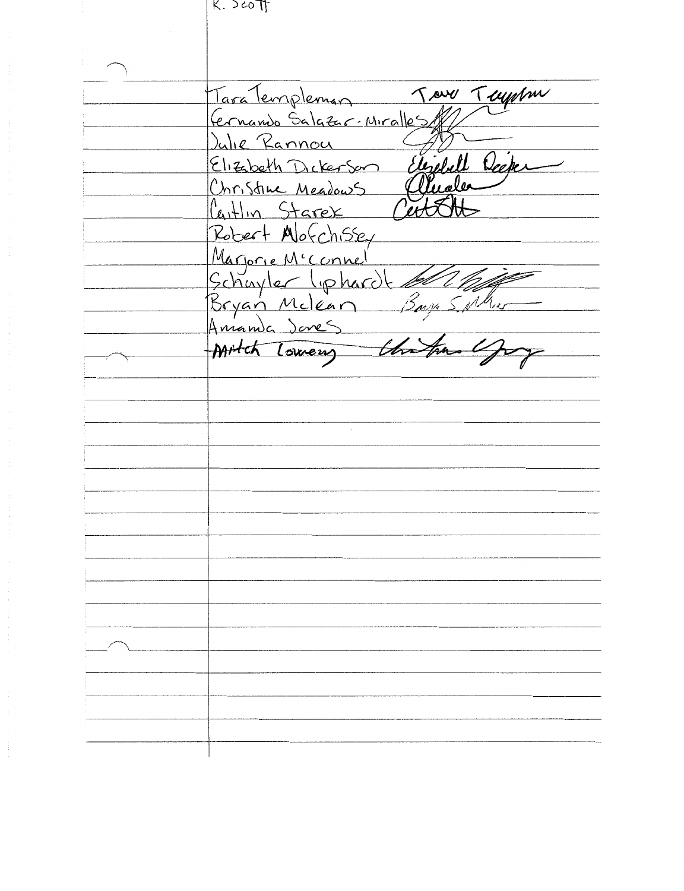K. JEO IT

Tour Tuppm Tara Templeman Fernando Salgzar-Miralles Julie Rannou Elizabeth Decker Elizabeth Dickerson Christine Meadows Caitlin Starex Robert Morchissey Marjorie M'Connel Schuyler liphardt Mitch Lowery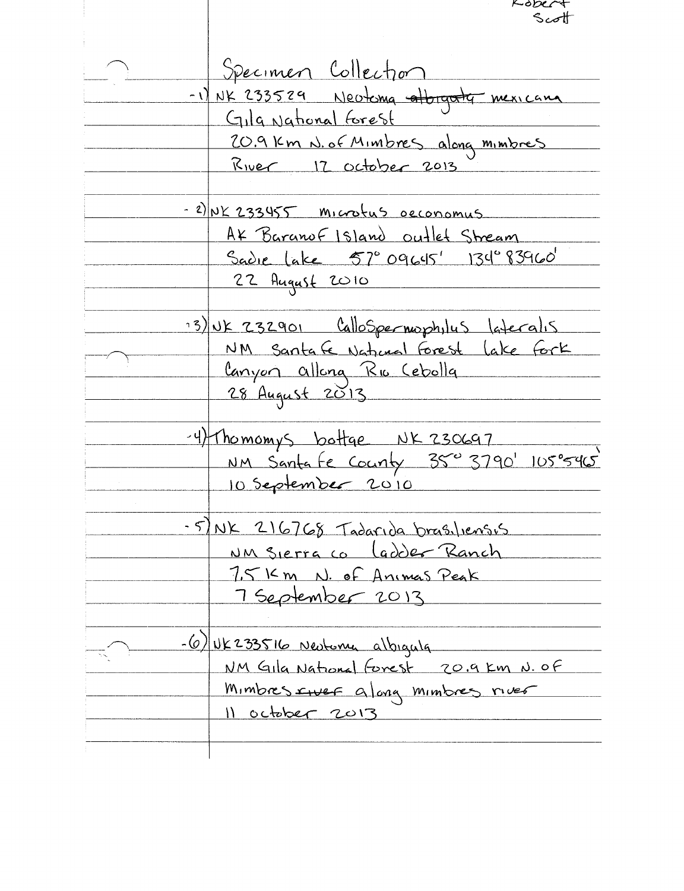Kope Specimen Collection -1) NK 233529 Neotoma attragator mexicana Gila National Forest 20.9 Km N. of Minibres along minibres <u>River 17 october 2013</u> - 2) NK 233455 microtus occonomus AX Baranof Island outlet Stream Sadie lake 57° 09645' 134°83960' 22 August 2010 13) UK 232901 CalloSpermophylus lateralis NM Santa Ce National Forest Lake Fork Canyon allong Rio Cebolla 28 August 2013 -4) Thomomys bottge NK 230697 NM Santa Fe County 350 3790' 105°5465 10 September 2010 - 5) NK 216768 Tadarida brasiliensis NM Sierra co Cadder Ranch 7,5 Km N. of Animas Peak 7 September 2013  $-(6)$  NK 233516 Neutoma albigula NM Gila National Forest 20.9 km N. OF Mimbres surer along mimbres river 11 october 2013